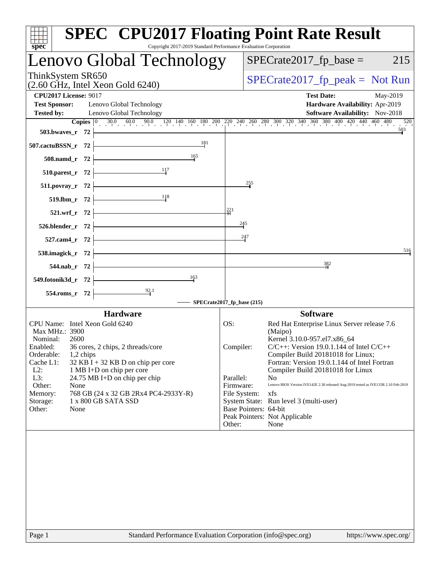| $spec^*$                     | <b>SPEC<sup>®</sup> CPU2017 Floating Point Rate Result</b><br>Copyright 2017-2019 Standard Performance Evaluation Corporation |                        |                                                                                                                                                                                  |     |
|------------------------------|-------------------------------------------------------------------------------------------------------------------------------|------------------------|----------------------------------------------------------------------------------------------------------------------------------------------------------------------------------|-----|
|                              | Lenovo Global Technology                                                                                                      |                        | $SPECrate2017fp base =$<br>215                                                                                                                                                   |     |
| ThinkSystem SR650            | $(2.60$ GHz, Intel Xeon Gold $6240)$                                                                                          |                        | $SPECrate2017_fp\_peak = Not Run$                                                                                                                                                |     |
| <b>CPU2017 License: 9017</b> |                                                                                                                               |                        | <b>Test Date:</b><br>May-2019                                                                                                                                                    |     |
| <b>Test Sponsor:</b>         | Lenovo Global Technology                                                                                                      |                        | Hardware Availability: Apr-2019                                                                                                                                                  |     |
| <b>Tested by:</b>            | Lenovo Global Technology                                                                                                      |                        | Software Availability: Nov-2018                                                                                                                                                  |     |
|                              |                                                                                                                               |                        | <b>Copies</b> $\begin{bmatrix} 0 & 30.0 & 60.0 & 90.0 & 120 & 140 & 160 & 180 & 200 & 220 & 240 & 260 & 280 & 300 & 320 & 340 & 360 & 400 & 420 & 440 & 460 & 480 \end{bmatrix}$ | 520 |
| 503.bwaves_r $72$ $\vdash$   |                                                                                                                               |                        | 503                                                                                                                                                                              |     |
| 507.cactuBSSN_r 72           | $\frac{181}{1}$                                                                                                               |                        |                                                                                                                                                                                  |     |
|                              | 508.namd_r 72 $\frac{165}{10}$                                                                                                |                        |                                                                                                                                                                                  |     |
|                              | 510.parest_r 72 $\frac{11}{7}$                                                                                                |                        |                                                                                                                                                                                  |     |
|                              |                                                                                                                               | 255                    |                                                                                                                                                                                  |     |
|                              | 511.povray_r 72 $\frac{18}{519.1 \text{bm}_r}$ 72 $\frac{18}{519.1 \text{bm}_r}$ 72                                           |                        |                                                                                                                                                                                  |     |
|                              |                                                                                                                               | 221                    |                                                                                                                                                                                  |     |
|                              | $521.wrf_r$ 72                                                                                                                |                        |                                                                                                                                                                                  |     |
|                              | $526. \text{blender}_r$ $72$                                                                                                  | $^{245}$               |                                                                                                                                                                                  |     |
|                              | 527.cam4_r 72 $\left\vert$                                                                                                    | 247                    |                                                                                                                                                                                  |     |
|                              | 538.imagick_r $72$ $\overline{\phantom{1}}$                                                                                   |                        |                                                                                                                                                                                  | 516 |
|                              | $544.nab_r$ 72                                                                                                                |                        | 382                                                                                                                                                                              |     |
|                              | 549.fotonik3d_r 72 $\frac{163}{1}$                                                                                            |                        |                                                                                                                                                                                  |     |
|                              | 554.roms_r 72 $\frac{92.1}{1}$                                                                                                |                        |                                                                                                                                                                                  |     |
|                              | - SPECrate2017_fp_base (215)                                                                                                  |                        |                                                                                                                                                                                  |     |
|                              | <b>Hardware</b>                                                                                                               |                        | <b>Software</b>                                                                                                                                                                  |     |
|                              | CPU Name: Intel Xeon Gold 6240                                                                                                | OS:                    | Red Hat Enterprise Linux Server release 7.6                                                                                                                                      |     |
| Max MHz.: 3900               |                                                                                                                               |                        | (Maipo)                                                                                                                                                                          |     |
| Nominal:<br>Enabled:         | 2600<br>36 cores, 2 chips, 2 threads/core                                                                                     | Compiler:              | Kernel 3.10.0-957.el7.x86_64<br>$C/C++$ : Version 19.0.1.144 of Intel $C/C++$                                                                                                    |     |
| Orderable:                   | 1,2 chips                                                                                                                     |                        | Compiler Build 20181018 for Linux;                                                                                                                                               |     |
| Cache L1:                    | $32$ KB I + 32 KB D on chip per core                                                                                          |                        | Fortran: Version 19.0.1.144 of Intel Fortran                                                                                                                                     |     |
| $L2$ :                       | 1 MB I+D on chip per core                                                                                                     |                        | Compiler Build 20181018 for Linux<br>N <sub>o</sub>                                                                                                                              |     |
| L3:<br>Other:                | 24.75 MB I+D on chip per chip<br>None                                                                                         | Parallel:<br>Firmware: | Lenovo BIOS Version IVE142E 2.30 released Aug-2019 tested as IVE135R 2.10 Feb-2019                                                                                               |     |
| Memory:                      | 768 GB (24 x 32 GB 2Rx4 PC4-2933Y-R)                                                                                          | File System:           | xfs                                                                                                                                                                              |     |
| Storage:                     | 1 x 800 GB SATA SSD                                                                                                           |                        | System State: Run level 3 (multi-user)                                                                                                                                           |     |
| Other:                       | None                                                                                                                          |                        | Base Pointers: 64-bit                                                                                                                                                            |     |
|                              |                                                                                                                               | Other:                 | Peak Pointers: Not Applicable<br>None                                                                                                                                            |     |
|                              |                                                                                                                               |                        |                                                                                                                                                                                  |     |
|                              |                                                                                                                               |                        |                                                                                                                                                                                  |     |
|                              |                                                                                                                               |                        |                                                                                                                                                                                  |     |
|                              |                                                                                                                               |                        |                                                                                                                                                                                  |     |
|                              |                                                                                                                               |                        |                                                                                                                                                                                  |     |
|                              |                                                                                                                               |                        |                                                                                                                                                                                  |     |
|                              |                                                                                                                               |                        |                                                                                                                                                                                  |     |
|                              |                                                                                                                               |                        |                                                                                                                                                                                  |     |
|                              |                                                                                                                               |                        |                                                                                                                                                                                  |     |
|                              |                                                                                                                               |                        |                                                                                                                                                                                  |     |
|                              |                                                                                                                               |                        |                                                                                                                                                                                  |     |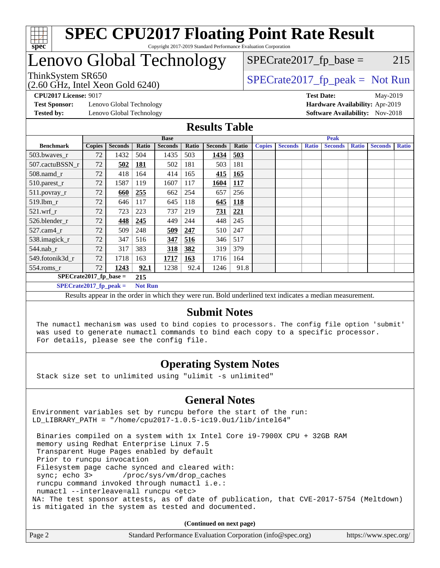

## Lenovo Global Technology

 $SPECTate2017<sub>fr</sub> peak = Not Run$  $SPECTate2017<sub>fr</sub> base = 215$ 

ThinkSystem SR650<br>(2.60 GHz, Intel Xeon Gold 6240)

**[Test Sponsor:](http://www.spec.org/auto/cpu2017/Docs/result-fields.html#TestSponsor)** Lenovo Global Technology **[Hardware Availability:](http://www.spec.org/auto/cpu2017/Docs/result-fields.html#HardwareAvailability)** Apr-2019 **[Tested by:](http://www.spec.org/auto/cpu2017/Docs/result-fields.html#Testedby)** Lenovo Global Technology **[Software Availability:](http://www.spec.org/auto/cpu2017/Docs/result-fields.html#SoftwareAvailability)** Nov-2018

**[CPU2017 License:](http://www.spec.org/auto/cpu2017/Docs/result-fields.html#CPU2017License)** 9017 **[Test Date:](http://www.spec.org/auto/cpu2017/Docs/result-fields.html#TestDate)** May-2019

### **[Results Table](http://www.spec.org/auto/cpu2017/Docs/result-fields.html#ResultsTable)**

|                          | <b>Base</b>   |                |                |                |       | <b>Peak</b>    |            |               |                |              |                |              |                |              |
|--------------------------|---------------|----------------|----------------|----------------|-------|----------------|------------|---------------|----------------|--------------|----------------|--------------|----------------|--------------|
| <b>Benchmark</b>         | <b>Copies</b> | <b>Seconds</b> | Ratio          | <b>Seconds</b> | Ratio | <b>Seconds</b> | Ratio      | <b>Copies</b> | <b>Seconds</b> | <b>Ratio</b> | <b>Seconds</b> | <b>Ratio</b> | <b>Seconds</b> | <b>Ratio</b> |
| 503.bwaves_r             | 72            | 1432           | 504            | 1435           | 503   | 1434           | 503        |               |                |              |                |              |                |              |
| 507.cactuBSSN r          | 72            | 502            | <b>181</b>     | 502            | 181   | 503            | 181        |               |                |              |                |              |                |              |
| $508$ .namd $r$          | 72            | 418            | 164            | 414            | 165   | 415            | 165        |               |                |              |                |              |                |              |
| 510.parest_r             | 72            | 1587           | 119            | 1607           | 117   | 1604           | <u>117</u> |               |                |              |                |              |                |              |
| 511.povray_r             | 72            | 660            | 255            | 662            | 254   | 657            | 256        |               |                |              |                |              |                |              |
| 519.lbm r                | 72            | 646            | 117            | 645            | 118   | 645            | <b>118</b> |               |                |              |                |              |                |              |
| $521.wrf_r$              | 72            | 723            | 223            | 737            | 219   | 731            | 221        |               |                |              |                |              |                |              |
| 526.blender r            | 72            | 448            | 245            | 449            | 244   | 448            | 245        |               |                |              |                |              |                |              |
| $527$ .cam $4r$          | 72            | 509            | 248            | 509            | 247   | 510            | 247        |               |                |              |                |              |                |              |
| 538.imagick_r            | 72            | 347            | 516            | 347            | 516   | 346            | 517        |               |                |              |                |              |                |              |
| $544$ .nab r             | 72            | 317            | 383            | 318            | 382   | 319            | 379        |               |                |              |                |              |                |              |
| 549.fotonik3d r          | 72            | 1718           | 163            | <u>1717</u>    | 163   | 1716           | 164        |               |                |              |                |              |                |              |
| $554$ .roms_r            | 72            | 1243           | 92.1           | 1238           | 92.4  | 1246           | 91.8       |               |                |              |                |              |                |              |
| $SPECrate2017$ fp base = |               |                | 215            |                |       |                |            |               |                |              |                |              |                |              |
| $SPECrate2017$ fp peak = |               |                | <b>Not Run</b> |                |       |                |            |               |                |              |                |              |                |              |

Results appear in the [order in which they were run.](http://www.spec.org/auto/cpu2017/Docs/result-fields.html#RunOrder) Bold underlined text [indicates a median measurement.](http://www.spec.org/auto/cpu2017/Docs/result-fields.html#Median)

### **[Submit Notes](http://www.spec.org/auto/cpu2017/Docs/result-fields.html#SubmitNotes)**

 The numactl mechanism was used to bind copies to processors. The config file option 'submit' was used to generate numactl commands to bind each copy to a specific processor. For details, please see the config file.

### **[Operating System Notes](http://www.spec.org/auto/cpu2017/Docs/result-fields.html#OperatingSystemNotes)**

Stack size set to unlimited using "ulimit -s unlimited"

### **[General Notes](http://www.spec.org/auto/cpu2017/Docs/result-fields.html#GeneralNotes)**

Environment variables set by runcpu before the start of the run: LD\_LIBRARY\_PATH = "/home/cpu2017-1.0.5-ic19.0u1/lib/intel64"

 Binaries compiled on a system with 1x Intel Core i9-7900X CPU + 32GB RAM memory using Redhat Enterprise Linux 7.5 Transparent Huge Pages enabled by default Prior to runcpu invocation Filesystem page cache synced and cleared with: sync; echo 3> /proc/sys/vm/drop\_caches runcpu command invoked through numactl i.e.: numactl --interleave=all runcpu <etc> NA: The test sponsor attests, as of date of publication, that CVE-2017-5754 (Meltdown) is mitigated in the system as tested and documented.

**(Continued on next page)**

| Page 2<br>Standard Performance Evaluation Corporation (info@spec.org)<br>https://www.spec.org/ |
|------------------------------------------------------------------------------------------------|
|------------------------------------------------------------------------------------------------|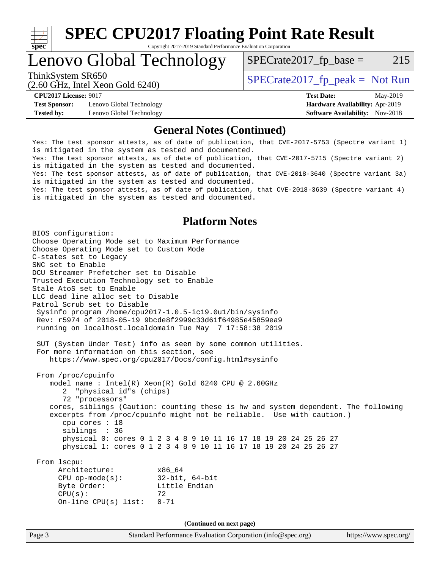

# **[SPEC CPU2017 Floating Point Rate Result](http://www.spec.org/auto/cpu2017/Docs/result-fields.html#SPECCPU2017FloatingPointRateResult)**

Copyright 2017-2019 Standard Performance Evaluation Corporation

### Lenovo Global Technology

 $SPECTate2017<sub>fr</sub> base = 215$ 

(2.60 GHz, Intel Xeon Gold 6240)

ThinkSystem SR650<br>  $SPECTI<sub>50</sub>CH<sub>2</sub>$  Intel Year Gald 6240)

**[Test Sponsor:](http://www.spec.org/auto/cpu2017/Docs/result-fields.html#TestSponsor)** Lenovo Global Technology **[Hardware Availability:](http://www.spec.org/auto/cpu2017/Docs/result-fields.html#HardwareAvailability)** Apr-2019 **[Tested by:](http://www.spec.org/auto/cpu2017/Docs/result-fields.html#Testedby)** Lenovo Global Technology **[Software Availability:](http://www.spec.org/auto/cpu2017/Docs/result-fields.html#SoftwareAvailability)** Nov-2018

**[CPU2017 License:](http://www.spec.org/auto/cpu2017/Docs/result-fields.html#CPU2017License)** 9017 **[Test Date:](http://www.spec.org/auto/cpu2017/Docs/result-fields.html#TestDate)** May-2019

### **[General Notes \(Continued\)](http://www.spec.org/auto/cpu2017/Docs/result-fields.html#GeneralNotes)**

Yes: The test sponsor attests, as of date of publication, that CVE-2017-5753 (Spectre variant 1) is mitigated in the system as tested and documented. Yes: The test sponsor attests, as of date of publication, that CVE-2017-5715 (Spectre variant 2) is mitigated in the system as tested and documented. Yes: The test sponsor attests, as of date of publication, that CVE-2018-3640 (Spectre variant 3a) is mitigated in the system as tested and documented. Yes: The test sponsor attests, as of date of publication, that CVE-2018-3639 (Spectre variant 4) is mitigated in the system as tested and documented.

### **[Platform Notes](http://www.spec.org/auto/cpu2017/Docs/result-fields.html#PlatformNotes)**

Page 3 Standard Performance Evaluation Corporation [\(info@spec.org\)](mailto:info@spec.org) <https://www.spec.org/> BIOS configuration: Choose Operating Mode set to Maximum Performance Choose Operating Mode set to Custom Mode C-states set to Legacy SNC set to Enable DCU Streamer Prefetcher set to Disable Trusted Execution Technology set to Enable Stale AtoS set to Enable LLC dead line alloc set to Disable Patrol Scrub set to Disable Sysinfo program /home/cpu2017-1.0.5-ic19.0u1/bin/sysinfo Rev: r5974 of 2018-05-19 9bcde8f2999c33d61f64985e45859ea9 running on localhost.localdomain Tue May 7 17:58:38 2019 SUT (System Under Test) info as seen by some common utilities. For more information on this section, see <https://www.spec.org/cpu2017/Docs/config.html#sysinfo> From /proc/cpuinfo model name : Intel(R) Xeon(R) Gold 6240 CPU @ 2.60GHz 2 "physical id"s (chips) 72 "processors" cores, siblings (Caution: counting these is hw and system dependent. The following excerpts from /proc/cpuinfo might not be reliable. Use with caution.) cpu cores : 18 siblings : 36 physical 0: cores 0 1 2 3 4 8 9 10 11 16 17 18 19 20 24 25 26 27 physical 1: cores 0 1 2 3 4 8 9 10 11 16 17 18 19 20 24 25 26 27 From lscpu: Architecture: x86\_64 CPU op-mode(s): 32-bit, 64-bit Byte Order: Little Endian  $CPU(s):$  72 On-line CPU(s) list: 0-71 **(Continued on next page)**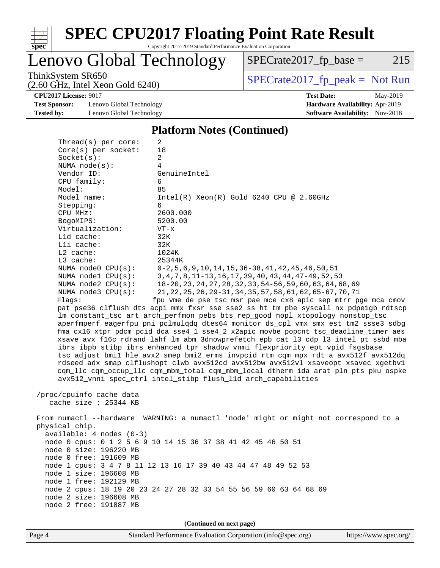

# **[SPEC CPU2017 Floating Point Rate Result](http://www.spec.org/auto/cpu2017/Docs/result-fields.html#SPECCPU2017FloatingPointRateResult)**

Copyright 2017-2019 Standard Performance Evaluation Corporation

Lenovo Global Technology

 $SPECTate2017_fp\_base = 215$ 

(2.60 GHz, Intel Xeon Gold 6240)

ThinkSystem SR650<br>  $(2.60 \text{ GHz, Intel Yoon Gold } 6240)$  [SPECrate2017\\_fp\\_peak =](http://www.spec.org/auto/cpu2017/Docs/result-fields.html#SPECrate2017fppeak) Not Run

**[Test Sponsor:](http://www.spec.org/auto/cpu2017/Docs/result-fields.html#TestSponsor)** Lenovo Global Technology **[Hardware Availability:](http://www.spec.org/auto/cpu2017/Docs/result-fields.html#HardwareAvailability)** Apr-2019 **[Tested by:](http://www.spec.org/auto/cpu2017/Docs/result-fields.html#Testedby)** Lenovo Global Technology **[Software Availability:](http://www.spec.org/auto/cpu2017/Docs/result-fields.html#SoftwareAvailability)** Nov-2018

**[CPU2017 License:](http://www.spec.org/auto/cpu2017/Docs/result-fields.html#CPU2017License)** 9017 **[Test Date:](http://www.spec.org/auto/cpu2017/Docs/result-fields.html#TestDate)** May-2019

#### **[Platform Notes \(Continued\)](http://www.spec.org/auto/cpu2017/Docs/result-fields.html#PlatformNotes)**

|                                                                                            | node 2 free: 191887 MB                                                             |                                                                                                                                                                      |  |  |  |  |
|--------------------------------------------------------------------------------------------|------------------------------------------------------------------------------------|----------------------------------------------------------------------------------------------------------------------------------------------------------------------|--|--|--|--|
|                                                                                            | node 2 size: 196608 MB                                                             |                                                                                                                                                                      |  |  |  |  |
|                                                                                            |                                                                                    | node 2 cpus: 18 19 20 23 24 27 28 32 33 54 55 56 59 60 63 64 68 69                                                                                                   |  |  |  |  |
|                                                                                            | node 1 free: 192129 MB                                                             |                                                                                                                                                                      |  |  |  |  |
|                                                                                            | node 1 size: 196608 MB                                                             |                                                                                                                                                                      |  |  |  |  |
|                                                                                            | node 1 cpus: 3 4 7 8 11 12 13 16 17 39 40 43 44 47 48 49 52 53                     |                                                                                                                                                                      |  |  |  |  |
|                                                                                            | node 0 free: 191609 MB                                                             |                                                                                                                                                                      |  |  |  |  |
| node 0 size: 196220 MB                                                                     |                                                                                    |                                                                                                                                                                      |  |  |  |  |
| $available: 4 nodes (0-3)$<br>node 0 cpus: 0 1 2 5 6 9 10 14 15 36 37 38 41 42 45 46 50 51 |                                                                                    |                                                                                                                                                                      |  |  |  |  |
| physical chip.                                                                             |                                                                                    |                                                                                                                                                                      |  |  |  |  |
| From numactl --hardware WARNING: a numactl 'node' might or might not correspond to a       |                                                                                    |                                                                                                                                                                      |  |  |  |  |
|                                                                                            |                                                                                    |                                                                                                                                                                      |  |  |  |  |
| cache size $: 25344$ KB                                                                    |                                                                                    |                                                                                                                                                                      |  |  |  |  |
| /proc/cpuinfo cache data                                                                   |                                                                                    |                                                                                                                                                                      |  |  |  |  |
|                                                                                            | avx512_vnni spec_ctrl intel_stibp flush_l1d arch_capabilities                      |                                                                                                                                                                      |  |  |  |  |
|                                                                                            |                                                                                    | cqm_llc cqm_occup_llc cqm_mbm_total cqm_mbm_local dtherm ida arat pln pts pku ospke                                                                                  |  |  |  |  |
|                                                                                            |                                                                                    | rdseed adx smap clflushopt clwb avx512cd avx512bw avx512vl xsaveopt xsavec xgetbvl                                                                                   |  |  |  |  |
|                                                                                            | tsc_adjust bmil hle avx2 smep bmi2 erms invpcid rtm cqm mpx rdt_a avx512f avx512dq |                                                                                                                                                                      |  |  |  |  |
|                                                                                            |                                                                                    | ibrs ibpb stibp ibrs_enhanced tpr_shadow vnmi flexpriority ept vpid fsgsbase                                                                                         |  |  |  |  |
|                                                                                            |                                                                                    | xsave avx f16c rdrand lahf_lm abm 3dnowprefetch epb cat_13 cdp_13 intel_pt ssbd mba                                                                                  |  |  |  |  |
|                                                                                            |                                                                                    | fma cx16 xtpr pdcm pcid dca sse4_1 sse4_2 x2apic movbe popcnt tsc_deadline_timer aes                                                                                 |  |  |  |  |
|                                                                                            |                                                                                    | aperfmperf eagerfpu pni pclmulqdq dtes64 monitor ds_cpl vmx smx est tm2 ssse3 sdbg                                                                                   |  |  |  |  |
|                                                                                            |                                                                                    | pat pse36 clflush dts acpi mmx fxsr sse sse2 ss ht tm pbe syscall nx pdpelgb rdtscp<br>lm constant_tsc art arch_perfmon pebs bts rep_good nopl xtopology nonstop_tsc |  |  |  |  |
|                                                                                            | Flags:                                                                             | fpu vme de pse tsc msr pae mce cx8 apic sep mtrr pge mca cmov                                                                                                        |  |  |  |  |
|                                                                                            | NUMA $node3$ $CPU(s)$ :                                                            | 21, 22, 25, 26, 29-31, 34, 35, 57, 58, 61, 62, 65-67, 70, 71                                                                                                         |  |  |  |  |
|                                                                                            | NUMA $node2$ $CPU(s):$                                                             | 18-20, 23, 24, 27, 28, 32, 33, 54-56, 59, 60, 63, 64, 68, 69                                                                                                         |  |  |  |  |
|                                                                                            | NUMA nodel CPU(s):                                                                 | 3, 4, 7, 8, 11-13, 16, 17, 39, 40, 43, 44, 47-49, 52, 53                                                                                                             |  |  |  |  |
|                                                                                            | NUMA node0 CPU(s):                                                                 | $0-2, 5, 6, 9, 10, 14, 15, 36-38, 41, 42, 45, 46, 50, 51$                                                                                                            |  |  |  |  |
|                                                                                            | L3 cache:                                                                          | 25344K                                                                                                                                                               |  |  |  |  |
|                                                                                            | $L2$ cache:                                                                        | 1024K                                                                                                                                                                |  |  |  |  |
|                                                                                            | Lli cache:                                                                         | 32K                                                                                                                                                                  |  |  |  |  |
|                                                                                            | L1d cache:                                                                         | 32K                                                                                                                                                                  |  |  |  |  |
|                                                                                            | Virtualization:                                                                    | $VT - x$                                                                                                                                                             |  |  |  |  |
|                                                                                            | BogoMIPS:                                                                          | 5200.00                                                                                                                                                              |  |  |  |  |
|                                                                                            | CPU MHz:                                                                           | 2600.000                                                                                                                                                             |  |  |  |  |
|                                                                                            | Stepping:                                                                          | 6                                                                                                                                                                    |  |  |  |  |
|                                                                                            | Model name:                                                                        | $Intel(R)$ Xeon $(R)$ Gold 6240 CPU @ 2.60GHz                                                                                                                        |  |  |  |  |
|                                                                                            | Model:                                                                             | 85                                                                                                                                                                   |  |  |  |  |
|                                                                                            | CPU family:                                                                        | 6                                                                                                                                                                    |  |  |  |  |
|                                                                                            | NUMA $node(s):$<br>Vendor ID:                                                      | 4<br>GenuineIntel                                                                                                                                                    |  |  |  |  |
|                                                                                            | Socket(s):                                                                         | 2                                                                                                                                                                    |  |  |  |  |
|                                                                                            | Core(s) per socket:                                                                | 18                                                                                                                                                                   |  |  |  |  |
|                                                                                            | Thread(s) per core:                                                                | 2                                                                                                                                                                    |  |  |  |  |
|                                                                                            |                                                                                    |                                                                                                                                                                      |  |  |  |  |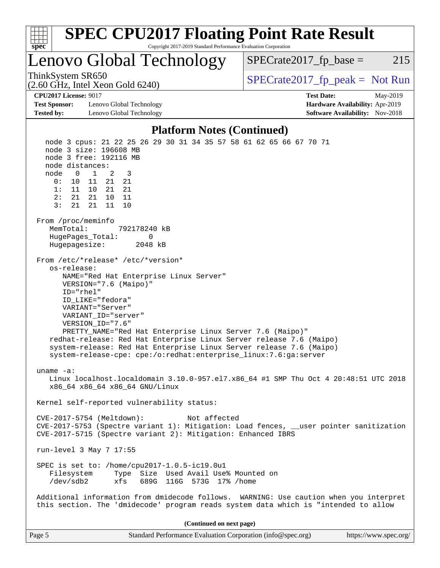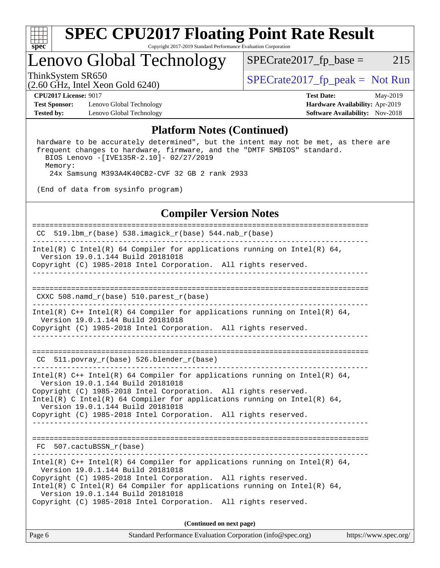

## Lenovo Global Technology

 $SPECTate2017_fp\_base = 215$ 

(2.60 GHz, Intel Xeon Gold 6240)

ThinkSystem SR650<br>  $\begin{array}{r} \text{SPECrate2017\_fp\_peak = Not Run} \\ \text{SPECrate2017\_fp\_peak = Not Run} \end{array}$ 

**[Test Sponsor:](http://www.spec.org/auto/cpu2017/Docs/result-fields.html#TestSponsor)** Lenovo Global Technology **[Hardware Availability:](http://www.spec.org/auto/cpu2017/Docs/result-fields.html#HardwareAvailability)** Apr-2019 **[Tested by:](http://www.spec.org/auto/cpu2017/Docs/result-fields.html#Testedby)** Lenovo Global Technology **[Software Availability:](http://www.spec.org/auto/cpu2017/Docs/result-fields.html#SoftwareAvailability)** Nov-2018

**[CPU2017 License:](http://www.spec.org/auto/cpu2017/Docs/result-fields.html#CPU2017License)** 9017 **[Test Date:](http://www.spec.org/auto/cpu2017/Docs/result-fields.html#TestDate)** May-2019

#### **[Platform Notes \(Continued\)](http://www.spec.org/auto/cpu2017/Docs/result-fields.html#PlatformNotes)**

 hardware to be accurately determined", but the intent may not be met, as there are frequent changes to hardware, firmware, and the "DMTF SMBIOS" standard. BIOS Lenovo -[IVE135R-2.10]- 02/27/2019 Memory: 24x Samsung M393A4K40CB2-CVF 32 GB 2 rank 2933

(End of data from sysinfo program)

### **[Compiler Version Notes](http://www.spec.org/auto/cpu2017/Docs/result-fields.html#CompilerVersionNotes)**

| $CC$ 519.1bm_r(base) 538.imagick_r(base) 544.nab_r(base)                                                                                                                           |  |  |  |  |  |
|------------------------------------------------------------------------------------------------------------------------------------------------------------------------------------|--|--|--|--|--|
| Intel(R) C Intel(R) 64 Compiler for applications running on Intel(R) 64,<br>Version 19.0.1.144 Build 20181018                                                                      |  |  |  |  |  |
| Copyright (C) 1985-2018 Intel Corporation. All rights reserved.                                                                                                                    |  |  |  |  |  |
| CXXC $508.namd_r(base) 510.parest_r(base)$                                                                                                                                         |  |  |  |  |  |
| Intel(R) $C++$ Intel(R) 64 Compiler for applications running on Intel(R) 64,<br>Version 19.0.1.144 Build 20181018                                                                  |  |  |  |  |  |
| Copyright (C) 1985-2018 Intel Corporation. All rights reserved.                                                                                                                    |  |  |  |  |  |
| $CC$ 511.povray $r(base)$ 526.blender $r(base)$                                                                                                                                    |  |  |  |  |  |
| Intel(R) C++ Intel(R) 64 Compiler for applications running on Intel(R) 64,<br>Version 19.0.1.144 Build 20181018<br>Copyright (C) 1985-2018 Intel Corporation. All rights reserved. |  |  |  |  |  |
| Intel(R) C Intel(R) 64 Compiler for applications running on Intel(R) 64,<br>Version 19.0.1.144 Build 20181018                                                                      |  |  |  |  |  |
| Copyright (C) 1985-2018 Intel Corporation. All rights reserved.                                                                                                                    |  |  |  |  |  |
| FC 507.cactuBSSN r(base)                                                                                                                                                           |  |  |  |  |  |
| Intel(R) $C++$ Intel(R) 64 Compiler for applications running on Intel(R) 64,<br>Version 19.0.1.144 Build 20181018                                                                  |  |  |  |  |  |
| Copyright (C) 1985-2018 Intel Corporation. All rights reserved.<br>Intel(R) C Intel(R) 64 Compiler for applications running on Intel(R) 64,<br>Version 19.0.1.144 Build 20181018   |  |  |  |  |  |
| Copyright (C) 1985-2018 Intel Corporation. All rights reserved.                                                                                                                    |  |  |  |  |  |
| (Continued on next page)                                                                                                                                                           |  |  |  |  |  |

Page 6 Standard Performance Evaluation Corporation [\(info@spec.org\)](mailto:info@spec.org) <https://www.spec.org/>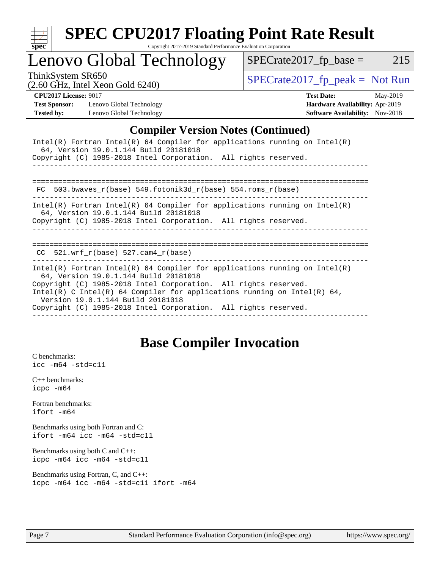

### Lenovo Global Technology

ThinkSystem SR650<br>  $\begin{array}{r} \text{SPECrate2017\_fp\_peak = Not Run} \\ \text{SPECrate2017\_fp\_peak = Not Run} \end{array}$ 

 $SPECTate2017_fp\_base = 215$ 

(2.60 GHz, Intel Xeon Gold 6240)

**[Test Sponsor:](http://www.spec.org/auto/cpu2017/Docs/result-fields.html#TestSponsor)** Lenovo Global Technology **[Hardware Availability:](http://www.spec.org/auto/cpu2017/Docs/result-fields.html#HardwareAvailability)** Apr-2019 **[Tested by:](http://www.spec.org/auto/cpu2017/Docs/result-fields.html#Testedby)** Lenovo Global Technology **[Software Availability:](http://www.spec.org/auto/cpu2017/Docs/result-fields.html#SoftwareAvailability)** Nov-2018

**[CPU2017 License:](http://www.spec.org/auto/cpu2017/Docs/result-fields.html#CPU2017License)** 9017 **[Test Date:](http://www.spec.org/auto/cpu2017/Docs/result-fields.html#TestDate)** May-2019

### **[Compiler Version Notes \(Continued\)](http://www.spec.org/auto/cpu2017/Docs/result-fields.html#CompilerVersionNotes)**

| Intel(R) Fortran Intel(R) 64 Compiler for applications running on Intel(R)<br>64, Version 19.0.1.144 Build 20181018<br>Copyright (C) 1985-2018 Intel Corporation. All rights reserved.                                                                                                                                                                                     |
|----------------------------------------------------------------------------------------------------------------------------------------------------------------------------------------------------------------------------------------------------------------------------------------------------------------------------------------------------------------------------|
| 503.bwaves $r(base)$ 549.fotonik3d $r(base)$ 554.roms $r(base)$<br>FC.                                                                                                                                                                                                                                                                                                     |
| Intel(R) Fortran Intel(R) 64 Compiler for applications running on Intel(R)<br>64, Version 19.0.1.144 Build 20181018<br>Copyright (C) 1985-2018 Intel Corporation. All rights reserved.                                                                                                                                                                                     |
| CC $521.$ wrf r(base) 527.cam4 r(base)                                                                                                                                                                                                                                                                                                                                     |
| Intel(R) Fortran Intel(R) 64 Compiler for applications running on Intel(R)<br>64, Version 19.0.1.144 Build 20181018<br>Copyright (C) 1985-2018 Intel Corporation. All rights reserved.<br>Intel(R) C Intel(R) 64 Compiler for applications running on Intel(R) 64,<br>Version 19.0.1.144 Build 20181018<br>Copyright (C) 1985-2018 Intel Corporation. All rights reserved. |

### **[Base Compiler Invocation](http://www.spec.org/auto/cpu2017/Docs/result-fields.html#BaseCompilerInvocation)**

[C benchmarks](http://www.spec.org/auto/cpu2017/Docs/result-fields.html#Cbenchmarks): [icc -m64 -std=c11](http://www.spec.org/cpu2017/results/res2019q3/cpu2017-20190708-16019.flags.html#user_CCbase_intel_icc_64bit_c11_33ee0cdaae7deeeab2a9725423ba97205ce30f63b9926c2519791662299b76a0318f32ddfffdc46587804de3178b4f9328c46fa7c2b0cd779d7a61945c91cd35)

[C++ benchmarks:](http://www.spec.org/auto/cpu2017/Docs/result-fields.html#CXXbenchmarks) [icpc -m64](http://www.spec.org/cpu2017/results/res2019q3/cpu2017-20190708-16019.flags.html#user_CXXbase_intel_icpc_64bit_4ecb2543ae3f1412ef961e0650ca070fec7b7afdcd6ed48761b84423119d1bf6bdf5cad15b44d48e7256388bc77273b966e5eb805aefd121eb22e9299b2ec9d9)

[Fortran benchmarks](http://www.spec.org/auto/cpu2017/Docs/result-fields.html#Fortranbenchmarks): [ifort -m64](http://www.spec.org/cpu2017/results/res2019q3/cpu2017-20190708-16019.flags.html#user_FCbase_intel_ifort_64bit_24f2bb282fbaeffd6157abe4f878425411749daecae9a33200eee2bee2fe76f3b89351d69a8130dd5949958ce389cf37ff59a95e7a40d588e8d3a57e0c3fd751)

[Benchmarks using both Fortran and C](http://www.spec.org/auto/cpu2017/Docs/result-fields.html#BenchmarksusingbothFortranandC): [ifort -m64](http://www.spec.org/cpu2017/results/res2019q3/cpu2017-20190708-16019.flags.html#user_CC_FCbase_intel_ifort_64bit_24f2bb282fbaeffd6157abe4f878425411749daecae9a33200eee2bee2fe76f3b89351d69a8130dd5949958ce389cf37ff59a95e7a40d588e8d3a57e0c3fd751) [icc -m64 -std=c11](http://www.spec.org/cpu2017/results/res2019q3/cpu2017-20190708-16019.flags.html#user_CC_FCbase_intel_icc_64bit_c11_33ee0cdaae7deeeab2a9725423ba97205ce30f63b9926c2519791662299b76a0318f32ddfffdc46587804de3178b4f9328c46fa7c2b0cd779d7a61945c91cd35)

[Benchmarks using both C and C++](http://www.spec.org/auto/cpu2017/Docs/result-fields.html#BenchmarksusingbothCandCXX): [icpc -m64](http://www.spec.org/cpu2017/results/res2019q3/cpu2017-20190708-16019.flags.html#user_CC_CXXbase_intel_icpc_64bit_4ecb2543ae3f1412ef961e0650ca070fec7b7afdcd6ed48761b84423119d1bf6bdf5cad15b44d48e7256388bc77273b966e5eb805aefd121eb22e9299b2ec9d9) [icc -m64 -std=c11](http://www.spec.org/cpu2017/results/res2019q3/cpu2017-20190708-16019.flags.html#user_CC_CXXbase_intel_icc_64bit_c11_33ee0cdaae7deeeab2a9725423ba97205ce30f63b9926c2519791662299b76a0318f32ddfffdc46587804de3178b4f9328c46fa7c2b0cd779d7a61945c91cd35)

```
Benchmarks using Fortran, C, and C++: 
icpc -m64 icc -m64 -std=c11 ifort -m64
```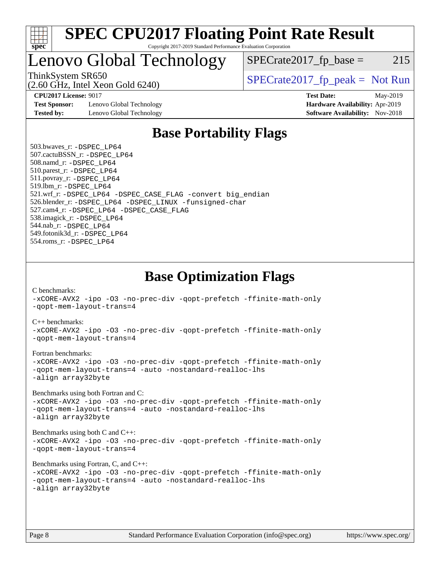

### Lenovo Global Technology

 $SPECTate2017<sub>fr</sub> base = 215$ 

(2.60 GHz, Intel Xeon Gold 6240)

ThinkSystem SR650<br>  $SPECrate2017$  fp\_peak = Not Run

**[Test Sponsor:](http://www.spec.org/auto/cpu2017/Docs/result-fields.html#TestSponsor)** Lenovo Global Technology **[Hardware Availability:](http://www.spec.org/auto/cpu2017/Docs/result-fields.html#HardwareAvailability)** Apr-2019 **[Tested by:](http://www.spec.org/auto/cpu2017/Docs/result-fields.html#Testedby)** Lenovo Global Technology **[Software Availability:](http://www.spec.org/auto/cpu2017/Docs/result-fields.html#SoftwareAvailability)** Nov-2018

**[CPU2017 License:](http://www.spec.org/auto/cpu2017/Docs/result-fields.html#CPU2017License)** 9017 **[Test Date:](http://www.spec.org/auto/cpu2017/Docs/result-fields.html#TestDate)** May-2019

### **[Base Portability Flags](http://www.spec.org/auto/cpu2017/Docs/result-fields.html#BasePortabilityFlags)**

 503.bwaves\_r: [-DSPEC\\_LP64](http://www.spec.org/cpu2017/results/res2019q3/cpu2017-20190708-16019.flags.html#suite_basePORTABILITY503_bwaves_r_DSPEC_LP64) 507.cactuBSSN\_r: [-DSPEC\\_LP64](http://www.spec.org/cpu2017/results/res2019q3/cpu2017-20190708-16019.flags.html#suite_basePORTABILITY507_cactuBSSN_r_DSPEC_LP64) 508.namd\_r: [-DSPEC\\_LP64](http://www.spec.org/cpu2017/results/res2019q3/cpu2017-20190708-16019.flags.html#suite_basePORTABILITY508_namd_r_DSPEC_LP64) 510.parest\_r: [-DSPEC\\_LP64](http://www.spec.org/cpu2017/results/res2019q3/cpu2017-20190708-16019.flags.html#suite_basePORTABILITY510_parest_r_DSPEC_LP64) 511.povray\_r: [-DSPEC\\_LP64](http://www.spec.org/cpu2017/results/res2019q3/cpu2017-20190708-16019.flags.html#suite_basePORTABILITY511_povray_r_DSPEC_LP64) 519.lbm\_r: [-DSPEC\\_LP64](http://www.spec.org/cpu2017/results/res2019q3/cpu2017-20190708-16019.flags.html#suite_basePORTABILITY519_lbm_r_DSPEC_LP64) 521.wrf\_r: [-DSPEC\\_LP64](http://www.spec.org/cpu2017/results/res2019q3/cpu2017-20190708-16019.flags.html#suite_basePORTABILITY521_wrf_r_DSPEC_LP64) [-DSPEC\\_CASE\\_FLAG](http://www.spec.org/cpu2017/results/res2019q3/cpu2017-20190708-16019.flags.html#b521.wrf_r_baseCPORTABILITY_DSPEC_CASE_FLAG) [-convert big\\_endian](http://www.spec.org/cpu2017/results/res2019q3/cpu2017-20190708-16019.flags.html#user_baseFPORTABILITY521_wrf_r_convert_big_endian_c3194028bc08c63ac5d04de18c48ce6d347e4e562e8892b8bdbdc0214820426deb8554edfa529a3fb25a586e65a3d812c835984020483e7e73212c4d31a38223) 526.blender\_r: [-DSPEC\\_LP64](http://www.spec.org/cpu2017/results/res2019q3/cpu2017-20190708-16019.flags.html#suite_basePORTABILITY526_blender_r_DSPEC_LP64) [-DSPEC\\_LINUX](http://www.spec.org/cpu2017/results/res2019q3/cpu2017-20190708-16019.flags.html#b526.blender_r_baseCPORTABILITY_DSPEC_LINUX) [-funsigned-char](http://www.spec.org/cpu2017/results/res2019q3/cpu2017-20190708-16019.flags.html#user_baseCPORTABILITY526_blender_r_force_uchar_40c60f00ab013830e2dd6774aeded3ff59883ba5a1fc5fc14077f794d777847726e2a5858cbc7672e36e1b067e7e5c1d9a74f7176df07886a243d7cc18edfe67) 527.cam4\_r: [-DSPEC\\_LP64](http://www.spec.org/cpu2017/results/res2019q3/cpu2017-20190708-16019.flags.html#suite_basePORTABILITY527_cam4_r_DSPEC_LP64) [-DSPEC\\_CASE\\_FLAG](http://www.spec.org/cpu2017/results/res2019q3/cpu2017-20190708-16019.flags.html#b527.cam4_r_baseCPORTABILITY_DSPEC_CASE_FLAG) 538.imagick\_r: [-DSPEC\\_LP64](http://www.spec.org/cpu2017/results/res2019q3/cpu2017-20190708-16019.flags.html#suite_basePORTABILITY538_imagick_r_DSPEC_LP64) 544.nab\_r: [-DSPEC\\_LP64](http://www.spec.org/cpu2017/results/res2019q3/cpu2017-20190708-16019.flags.html#suite_basePORTABILITY544_nab_r_DSPEC_LP64) 549.fotonik3d\_r: [-DSPEC\\_LP64](http://www.spec.org/cpu2017/results/res2019q3/cpu2017-20190708-16019.flags.html#suite_basePORTABILITY549_fotonik3d_r_DSPEC_LP64) 554.roms\_r: [-DSPEC\\_LP64](http://www.spec.org/cpu2017/results/res2019q3/cpu2017-20190708-16019.flags.html#suite_basePORTABILITY554_roms_r_DSPEC_LP64)

**[Base Optimization Flags](http://www.spec.org/auto/cpu2017/Docs/result-fields.html#BaseOptimizationFlags)**

[C benchmarks](http://www.spec.org/auto/cpu2017/Docs/result-fields.html#Cbenchmarks):

[-xCORE-AVX2](http://www.spec.org/cpu2017/results/res2019q3/cpu2017-20190708-16019.flags.html#user_CCbase_f-xCORE-AVX2) [-ipo](http://www.spec.org/cpu2017/results/res2019q3/cpu2017-20190708-16019.flags.html#user_CCbase_f-ipo) [-O3](http://www.spec.org/cpu2017/results/res2019q3/cpu2017-20190708-16019.flags.html#user_CCbase_f-O3) [-no-prec-div](http://www.spec.org/cpu2017/results/res2019q3/cpu2017-20190708-16019.flags.html#user_CCbase_f-no-prec-div) [-qopt-prefetch](http://www.spec.org/cpu2017/results/res2019q3/cpu2017-20190708-16019.flags.html#user_CCbase_f-qopt-prefetch) [-ffinite-math-only](http://www.spec.org/cpu2017/results/res2019q3/cpu2017-20190708-16019.flags.html#user_CCbase_f_finite_math_only_cb91587bd2077682c4b38af759c288ed7c732db004271a9512da14a4f8007909a5f1427ecbf1a0fb78ff2a814402c6114ac565ca162485bbcae155b5e4258871) [-qopt-mem-layout-trans=4](http://www.spec.org/cpu2017/results/res2019q3/cpu2017-20190708-16019.flags.html#user_CCbase_f-qopt-mem-layout-trans_fa39e755916c150a61361b7846f310bcdf6f04e385ef281cadf3647acec3f0ae266d1a1d22d972a7087a248fd4e6ca390a3634700869573d231a252c784941a8) [C++ benchmarks:](http://www.spec.org/auto/cpu2017/Docs/result-fields.html#CXXbenchmarks) [-xCORE-AVX2](http://www.spec.org/cpu2017/results/res2019q3/cpu2017-20190708-16019.flags.html#user_CXXbase_f-xCORE-AVX2) [-ipo](http://www.spec.org/cpu2017/results/res2019q3/cpu2017-20190708-16019.flags.html#user_CXXbase_f-ipo) [-O3](http://www.spec.org/cpu2017/results/res2019q3/cpu2017-20190708-16019.flags.html#user_CXXbase_f-O3) [-no-prec-div](http://www.spec.org/cpu2017/results/res2019q3/cpu2017-20190708-16019.flags.html#user_CXXbase_f-no-prec-div) [-qopt-prefetch](http://www.spec.org/cpu2017/results/res2019q3/cpu2017-20190708-16019.flags.html#user_CXXbase_f-qopt-prefetch) [-ffinite-math-only](http://www.spec.org/cpu2017/results/res2019q3/cpu2017-20190708-16019.flags.html#user_CXXbase_f_finite_math_only_cb91587bd2077682c4b38af759c288ed7c732db004271a9512da14a4f8007909a5f1427ecbf1a0fb78ff2a814402c6114ac565ca162485bbcae155b5e4258871) [-qopt-mem-layout-trans=4](http://www.spec.org/cpu2017/results/res2019q3/cpu2017-20190708-16019.flags.html#user_CXXbase_f-qopt-mem-layout-trans_fa39e755916c150a61361b7846f310bcdf6f04e385ef281cadf3647acec3f0ae266d1a1d22d972a7087a248fd4e6ca390a3634700869573d231a252c784941a8) [Fortran benchmarks](http://www.spec.org/auto/cpu2017/Docs/result-fields.html#Fortranbenchmarks): [-xCORE-AVX2](http://www.spec.org/cpu2017/results/res2019q3/cpu2017-20190708-16019.flags.html#user_FCbase_f-xCORE-AVX2) [-ipo](http://www.spec.org/cpu2017/results/res2019q3/cpu2017-20190708-16019.flags.html#user_FCbase_f-ipo) [-O3](http://www.spec.org/cpu2017/results/res2019q3/cpu2017-20190708-16019.flags.html#user_FCbase_f-O3) [-no-prec-div](http://www.spec.org/cpu2017/results/res2019q3/cpu2017-20190708-16019.flags.html#user_FCbase_f-no-prec-div) [-qopt-prefetch](http://www.spec.org/cpu2017/results/res2019q3/cpu2017-20190708-16019.flags.html#user_FCbase_f-qopt-prefetch) [-ffinite-math-only](http://www.spec.org/cpu2017/results/res2019q3/cpu2017-20190708-16019.flags.html#user_FCbase_f_finite_math_only_cb91587bd2077682c4b38af759c288ed7c732db004271a9512da14a4f8007909a5f1427ecbf1a0fb78ff2a814402c6114ac565ca162485bbcae155b5e4258871) [-qopt-mem-layout-trans=4](http://www.spec.org/cpu2017/results/res2019q3/cpu2017-20190708-16019.flags.html#user_FCbase_f-qopt-mem-layout-trans_fa39e755916c150a61361b7846f310bcdf6f04e385ef281cadf3647acec3f0ae266d1a1d22d972a7087a248fd4e6ca390a3634700869573d231a252c784941a8) [-auto](http://www.spec.org/cpu2017/results/res2019q3/cpu2017-20190708-16019.flags.html#user_FCbase_f-auto) [-nostandard-realloc-lhs](http://www.spec.org/cpu2017/results/res2019q3/cpu2017-20190708-16019.flags.html#user_FCbase_f_2003_std_realloc_82b4557e90729c0f113870c07e44d33d6f5a304b4f63d4c15d2d0f1fab99f5daaed73bdb9275d9ae411527f28b936061aa8b9c8f2d63842963b95c9dd6426b8a) [-align array32byte](http://www.spec.org/cpu2017/results/res2019q3/cpu2017-20190708-16019.flags.html#user_FCbase_align_array32byte_b982fe038af199962ba9a80c053b8342c548c85b40b8e86eb3cc33dee0d7986a4af373ac2d51c3f7cf710a18d62fdce2948f201cd044323541f22fc0fffc51b6) [Benchmarks using both Fortran and C](http://www.spec.org/auto/cpu2017/Docs/result-fields.html#BenchmarksusingbothFortranandC): [-xCORE-AVX2](http://www.spec.org/cpu2017/results/res2019q3/cpu2017-20190708-16019.flags.html#user_CC_FCbase_f-xCORE-AVX2) [-ipo](http://www.spec.org/cpu2017/results/res2019q3/cpu2017-20190708-16019.flags.html#user_CC_FCbase_f-ipo) [-O3](http://www.spec.org/cpu2017/results/res2019q3/cpu2017-20190708-16019.flags.html#user_CC_FCbase_f-O3) [-no-prec-div](http://www.spec.org/cpu2017/results/res2019q3/cpu2017-20190708-16019.flags.html#user_CC_FCbase_f-no-prec-div) [-qopt-prefetch](http://www.spec.org/cpu2017/results/res2019q3/cpu2017-20190708-16019.flags.html#user_CC_FCbase_f-qopt-prefetch) [-ffinite-math-only](http://www.spec.org/cpu2017/results/res2019q3/cpu2017-20190708-16019.flags.html#user_CC_FCbase_f_finite_math_only_cb91587bd2077682c4b38af759c288ed7c732db004271a9512da14a4f8007909a5f1427ecbf1a0fb78ff2a814402c6114ac565ca162485bbcae155b5e4258871) [-qopt-mem-layout-trans=4](http://www.spec.org/cpu2017/results/res2019q3/cpu2017-20190708-16019.flags.html#user_CC_FCbase_f-qopt-mem-layout-trans_fa39e755916c150a61361b7846f310bcdf6f04e385ef281cadf3647acec3f0ae266d1a1d22d972a7087a248fd4e6ca390a3634700869573d231a252c784941a8) [-auto](http://www.spec.org/cpu2017/results/res2019q3/cpu2017-20190708-16019.flags.html#user_CC_FCbase_f-auto) [-nostandard-realloc-lhs](http://www.spec.org/cpu2017/results/res2019q3/cpu2017-20190708-16019.flags.html#user_CC_FCbase_f_2003_std_realloc_82b4557e90729c0f113870c07e44d33d6f5a304b4f63d4c15d2d0f1fab99f5daaed73bdb9275d9ae411527f28b936061aa8b9c8f2d63842963b95c9dd6426b8a) [-align array32byte](http://www.spec.org/cpu2017/results/res2019q3/cpu2017-20190708-16019.flags.html#user_CC_FCbase_align_array32byte_b982fe038af199962ba9a80c053b8342c548c85b40b8e86eb3cc33dee0d7986a4af373ac2d51c3f7cf710a18d62fdce2948f201cd044323541f22fc0fffc51b6) [Benchmarks using both C and C++](http://www.spec.org/auto/cpu2017/Docs/result-fields.html#BenchmarksusingbothCandCXX): [-xCORE-AVX2](http://www.spec.org/cpu2017/results/res2019q3/cpu2017-20190708-16019.flags.html#user_CC_CXXbase_f-xCORE-AVX2) [-ipo](http://www.spec.org/cpu2017/results/res2019q3/cpu2017-20190708-16019.flags.html#user_CC_CXXbase_f-ipo) [-O3](http://www.spec.org/cpu2017/results/res2019q3/cpu2017-20190708-16019.flags.html#user_CC_CXXbase_f-O3) [-no-prec-div](http://www.spec.org/cpu2017/results/res2019q3/cpu2017-20190708-16019.flags.html#user_CC_CXXbase_f-no-prec-div) [-qopt-prefetch](http://www.spec.org/cpu2017/results/res2019q3/cpu2017-20190708-16019.flags.html#user_CC_CXXbase_f-qopt-prefetch) [-ffinite-math-only](http://www.spec.org/cpu2017/results/res2019q3/cpu2017-20190708-16019.flags.html#user_CC_CXXbase_f_finite_math_only_cb91587bd2077682c4b38af759c288ed7c732db004271a9512da14a4f8007909a5f1427ecbf1a0fb78ff2a814402c6114ac565ca162485bbcae155b5e4258871) [-qopt-mem-layout-trans=4](http://www.spec.org/cpu2017/results/res2019q3/cpu2017-20190708-16019.flags.html#user_CC_CXXbase_f-qopt-mem-layout-trans_fa39e755916c150a61361b7846f310bcdf6f04e385ef281cadf3647acec3f0ae266d1a1d22d972a7087a248fd4e6ca390a3634700869573d231a252c784941a8) [Benchmarks using Fortran, C, and C++:](http://www.spec.org/auto/cpu2017/Docs/result-fields.html#BenchmarksusingFortranCandCXX) [-xCORE-AVX2](http://www.spec.org/cpu2017/results/res2019q3/cpu2017-20190708-16019.flags.html#user_CC_CXX_FCbase_f-xCORE-AVX2) [-ipo](http://www.spec.org/cpu2017/results/res2019q3/cpu2017-20190708-16019.flags.html#user_CC_CXX_FCbase_f-ipo) [-O3](http://www.spec.org/cpu2017/results/res2019q3/cpu2017-20190708-16019.flags.html#user_CC_CXX_FCbase_f-O3) [-no-prec-div](http://www.spec.org/cpu2017/results/res2019q3/cpu2017-20190708-16019.flags.html#user_CC_CXX_FCbase_f-no-prec-div) [-qopt-prefetch](http://www.spec.org/cpu2017/results/res2019q3/cpu2017-20190708-16019.flags.html#user_CC_CXX_FCbase_f-qopt-prefetch) [-ffinite-math-only](http://www.spec.org/cpu2017/results/res2019q3/cpu2017-20190708-16019.flags.html#user_CC_CXX_FCbase_f_finite_math_only_cb91587bd2077682c4b38af759c288ed7c732db004271a9512da14a4f8007909a5f1427ecbf1a0fb78ff2a814402c6114ac565ca162485bbcae155b5e4258871) [-qopt-mem-layout-trans=4](http://www.spec.org/cpu2017/results/res2019q3/cpu2017-20190708-16019.flags.html#user_CC_CXX_FCbase_f-qopt-mem-layout-trans_fa39e755916c150a61361b7846f310bcdf6f04e385ef281cadf3647acec3f0ae266d1a1d22d972a7087a248fd4e6ca390a3634700869573d231a252c784941a8) [-auto](http://www.spec.org/cpu2017/results/res2019q3/cpu2017-20190708-16019.flags.html#user_CC_CXX_FCbase_f-auto) [-nostandard-realloc-lhs](http://www.spec.org/cpu2017/results/res2019q3/cpu2017-20190708-16019.flags.html#user_CC_CXX_FCbase_f_2003_std_realloc_82b4557e90729c0f113870c07e44d33d6f5a304b4f63d4c15d2d0f1fab99f5daaed73bdb9275d9ae411527f28b936061aa8b9c8f2d63842963b95c9dd6426b8a) [-align array32byte](http://www.spec.org/cpu2017/results/res2019q3/cpu2017-20190708-16019.flags.html#user_CC_CXX_FCbase_align_array32byte_b982fe038af199962ba9a80c053b8342c548c85b40b8e86eb3cc33dee0d7986a4af373ac2d51c3f7cf710a18d62fdce2948f201cd044323541f22fc0fffc51b6)